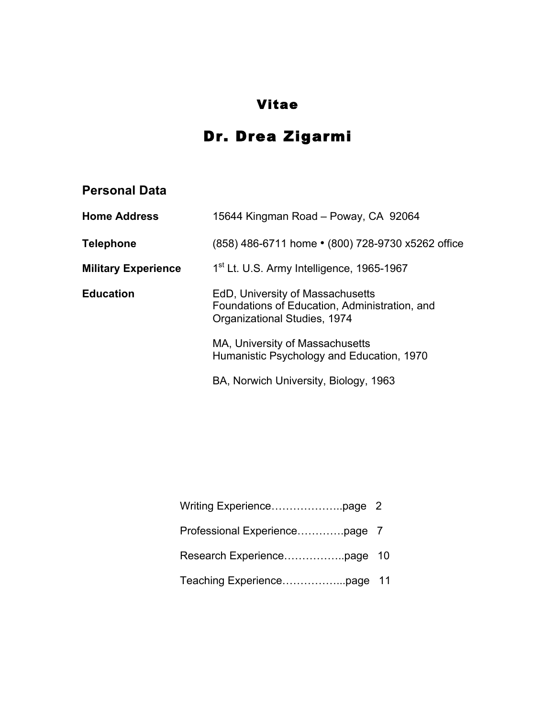# Vitae

# Dr. Drea Zigarmi

# **Personal Data**

| <b>Home Address</b>        | 15644 Kingman Road - Poway, CA 92064                                                                              |
|----------------------------|-------------------------------------------------------------------------------------------------------------------|
| <b>Telephone</b>           | (858) 486-6711 home • (800) 728-9730 x5262 office                                                                 |
| <b>Military Experience</b> | 1 <sup>st</sup> Lt. U.S. Army Intelligence, 1965-1967                                                             |
| <b>Education</b>           | EdD, University of Massachusetts<br>Foundations of Education, Administration, and<br>Organizational Studies, 1974 |
|                            | MA, University of Massachusetts<br>Humanistic Psychology and Education, 1970                                      |
|                            | BA, Norwich University, Biology, 1963                                                                             |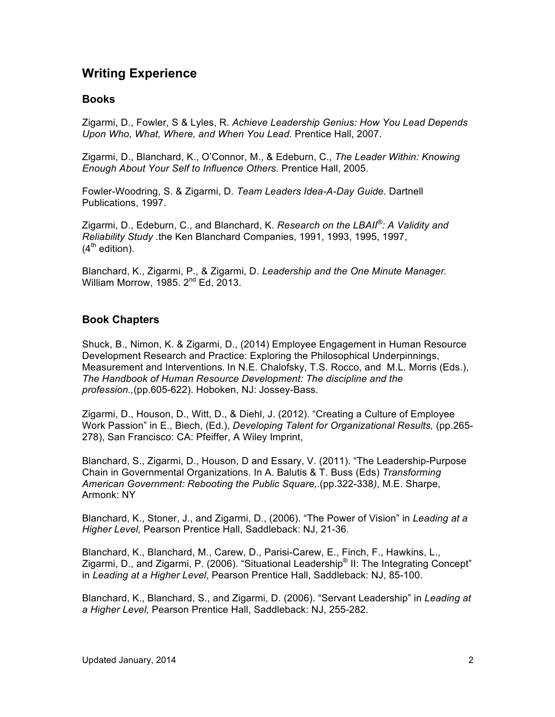### **Writing Experience**

#### **Books**

Zigarmi, D., Fowler, S & Lyles, R. *Achieve Leadership Genius: How You Lead Depends Upon Who, What, Where, and When You Lead.* Prentice Hall, 2007.

Zigarmi, D., Blanchard, K., O'Connor, M., & Edeburn, C., *The Leader Within: Knowing Enough About Your Self to Influence Others.* Prentice Hall, 2005.

Fowler-Woodring, S. & Zigarmi, D. *Team Leaders Idea-A-Day Guide.* Dartnell Publications, 1997.

Zigarmi, D., Edeburn, C., and Blanchard, K. *Research on the LBAII®: A Validity and Reliability Study .*the Ken Blanchard Companies, 1991, 1993, 1995, 1997,  $(4<sup>th</sup>$  edition).

Blanchard, K., Zigarmi, P., & Zigarmi, D. *Leadership and the One Minute Manager.* William Morrow, 1985.  $2^{nd}$  Ed, 2013.

#### **Book Chapters**

Shuck, B., Nimon, K. & Zigarmi, D., (2014) Employee Engagement in Human Resource Development Research and Practice: Exploring the Philosophical Underpinnings, Measurement and Interventions. In N.E. Chalofsky, T.S. Rocco, and M.L. Morris (Eds.), *The Handbook of Human Resource Development: The discipline and the profession.,*(pp.605-622). Hoboken, NJ: Jossey-Bass.

Zigarmi, D., Houson, D., Witt, D., & Diehl, J. (2012). "Creating a Culture of Employee Work Passion" in E., Biech, (Ed.), *Developing Talent for Organizational Results,* (pp.265- 278), San Francisco: CA: Pfeiffer, A Wiley Imprint,

Blanchard, S., Zigarmi, D., Houson, D and Essary, V. (2011). "The Leadership-Purpose Chain in Governmental Organizations. In A. Balutis & T. Buss (Eds) *Transforming American Government: Rebooting the Public Square,*.(pp.322-338*)*, M.E. Sharpe, Armonk: NY

Blanchard, K., Stoner, J., and Zigarmi, D., (2006). "The Power of Vision" in *Leading at a Higher Level,* Pearson Prentice Hall, Saddleback: NJ, 21-36.

Blanchard, K., Blanchard, M., Carew, D., Parisi-Carew, E., Finch, F., Hawkins, L., Zigarmi, D., and Zigarmi, P. (2006). "Situational Leadership® II: The Integrating Concept" in *Leading at a Higher Level*, Pearson Prentice Hall, Saddleback: NJ, 85-100.

Blanchard, K., Blanchard, S., and Zigarmi, D. (2006). "Servant Leadership" in *Leading at a Higher Level,* Pearson Prentice Hall, Saddleback: NJ, 255-282.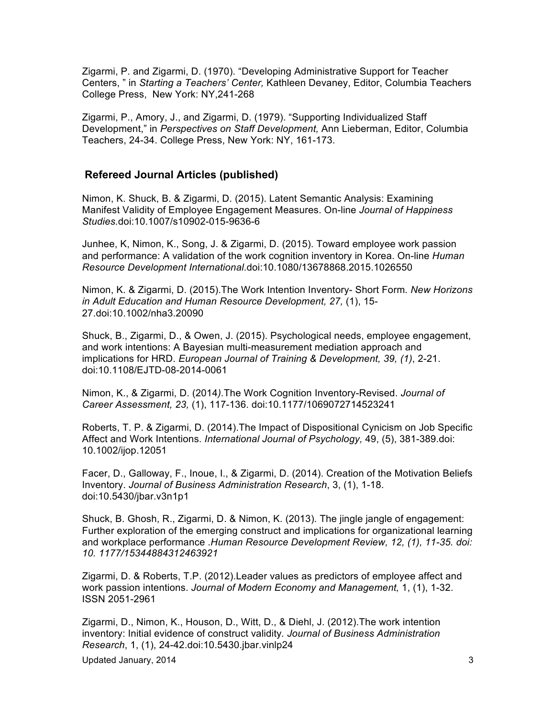Zigarmi, P. and Zigarmi, D. (1970). "Developing Administrative Support for Teacher Centers, " in *Starting a Teachers' Center,* Kathleen Devaney, Editor, Columbia Teachers College Press, New York: NY,241-268

Zigarmi, P., Amory, J., and Zigarmi, D. (1979). "Supporting Individualized Staff Development," in *Perspectives on Staff Development,* Ann Lieberman, Editor, Columbia Teachers, 24-34. College Press, New York: NY, 161-173.

#### **Refereed Journal Articles (published)**

Nimon, K. Shuck, B. & Zigarmi, D. (2015). Latent Semantic Analysis: Examining Manifest Validity of Employee Engagement Measures. On-line *Journal of Happiness Studies.*doi:10.1007/s10902-015-9636-6

Junhee, K, Nimon, K., Song, J. & Zigarmi, D. (2015). Toward employee work passion and performance: A validation of the work cognition inventory in Korea. On-line *Human Resource Development International*.doi:10.1080/13678868.2015.1026550

Nimon, K. & Zigarmi, D. (2015).The Work Intention Inventory- Short Form*. New Horizons in Adult Education and Human Resource Development, 27,* (1), 15- 27.doi:10.1002/nha3.20090

Shuck, B., Zigarmi, D., & Owen, J. (2015). Psychological needs, employee engagement, and work intentions: A Bayesian multi-measurement mediation approach and implications for HRD. *European Journal of Training & Development, 39, (1)*, 2-21. doi:10.1108/EJTD-08-2014-0061

Nimon, K., & Zigarmi, D. (2014*).*The Work Cognition Inventory-Revised. *Journal of Career Assessment, 23,* (1), 117-136. doi:10.1177/1069072714523241

Roberts, T. P. & Zigarmi, D. (2014).The Impact of Dispositional Cynicism on Job Specific Affect and Work Intentions. *International Journal of Psychology,* 49, (5), 381-389.doi: 10.1002/ijop.12051

Facer, D., Galloway, F., Inoue, I., & Zigarmi, D. (2014). Creation of the Motivation Beliefs Inventory. *Journal of Business Administration Research*, 3, (1), 1-18. doi:10.5430/jbar.v3n1p1

Shuck, B. Ghosh, R., Zigarmi, D. & Nimon, K. (2013). The jingle jangle of engagement: Further exploration of the emerging construct and implications for organizational learning and workplace performance .*Human Resource Development Review, 12, (1), 11-35. doi: 10. 1177/15344884312463921*

Zigarmi, D. & Roberts, T.P. (2012).Leader values as predictors of employee affect and work passion intentions. *Journal of Modern Economy and Management,* 1, (1), 1-32. ISSN 2051-2961

Zigarmi, D., Nimon, K., Houson, D., Witt, D., & Diehl, J. (2012).The work intention inventory: Initial evidence of construct validity*. Journal of Business Administration Research*, 1, (1), 24-42.doi:10.5430.jbar.vinlp24

Updated January, 2014 3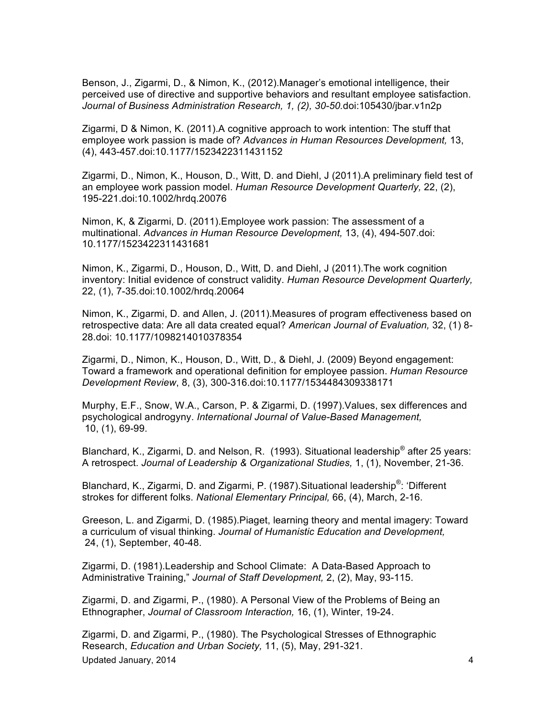Benson, J., Zigarmi, D., & Nimon, K., (2012).Manager's emotional intelligence, their perceived use of directive and supportive behaviors and resultant employee satisfaction. *Journal of Business Administration Research, 1, (2), 30-50.*doi:105430/jbar.v1n2p

Zigarmi, D & Nimon, K. (2011).A cognitive approach to work intention: The stuff that employee work passion is made of? *Advances in Human Resources Development,* 13, (4), 443-457.doi:10.1177/1523422311431152

Zigarmi, D., Nimon, K., Houson, D., Witt, D. and Diehl, J (2011).A preliminary field test of an employee work passion model. *Human Resource Development Quarterly,* 22, (2), 195-221.doi:10.1002/hrdq.20076

Nimon, K, & Zigarmi, D. (2011).Employee work passion: The assessment of a multinational. *Advances in Human Resource Development,* 13, (4), 494-507.doi: 10.1177/1523422311431681

Nimon, K., Zigarmi, D., Houson, D., Witt, D. and Diehl, J (2011).The work cognition inventory: Initial evidence of construct validity. *Human Resource Development Quarterly,*  22, (1), 7-35*.*doi:10.1002/hrdq.20064

Nimon, K., Zigarmi, D. and Allen, J. (2011).Measures of program effectiveness based on retrospective data: Are all data created equal? *American Journal of Evaluation,* 32, (1) 8- 28.doi: 10.1177/1098214010378354

Zigarmi, D., Nimon, K., Houson, D., Witt, D., & Diehl, J. (2009) Beyond engagement: Toward a framework and operational definition for employee passion. *Human Resource Development Review*, 8, (3), 300-316.doi:10.1177/1534484309338171

Murphy, E.F., Snow, W.A., Carson, P. & Zigarmi, D. (1997).Values, sex differences and psychological androgyny. *International Journal of Value-Based Management,* 10, (1), 69-99.

Blanchard, K., Zigarmi, D. and Nelson, R. (1993). Situational leadership® after 25 years: A retrospect. *Journal of Leadership & Organizational Studies,* 1, (1), November, 21-36.

Blanchard, K., Zigarmi, D. and Zigarmi, P. (1987).Situational leadership®: 'Different strokes for different folks. *National Elementary Principal,* 66, (4), March, 2-16.

Greeson, L. and Zigarmi, D. (1985).Piaget, learning theory and mental imagery: Toward a curriculum of visual thinking. *Journal of Humanistic Education and Development,* 24, (1), September, 40-48.

Zigarmi, D. (1981).Leadership and School Climate: A Data-Based Approach to Administrative Training," *Journal of Staff Development,* 2, (2), May, 93-115.

Zigarmi, D. and Zigarmi, P., (1980). A Personal View of the Problems of Being an Ethnographer, *Journal of Classroom Interaction,* 16, (1), Winter, 19-24.

Updated January, 2014 **4 4** Zigarmi, D. and Zigarmi, P., (1980). The Psychological Stresses of Ethnographic Research, *Education and Urban Society,* 11, (5), May, 291-321.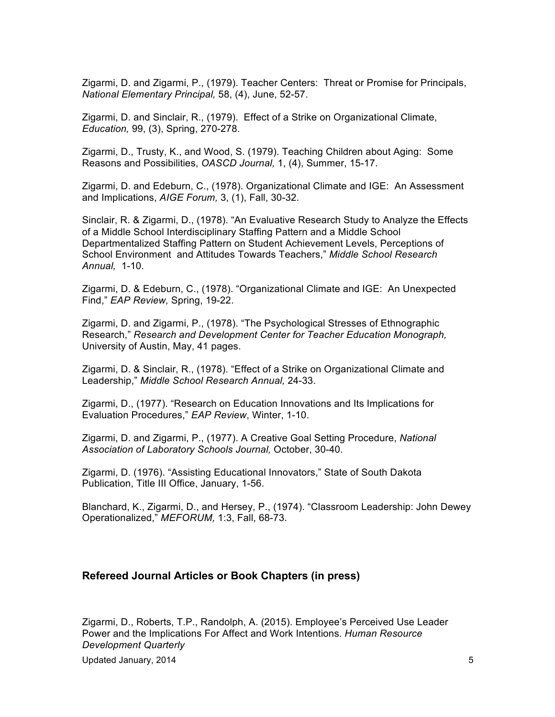Zigarmi, D. and Zigarmi, P., (1979). Teacher Centers: Threat or Promise for Principals, *National Elementary Principal,* 58, (4), June, 52-57.

Zigarmi, D. and Sinclair, R., (1979). Effect of a Strike on Organizational Climate, *Education,* 99, (3), Spring, 270-278.

Zigarmi, D., Trusty, K., and Wood, S. (1979). Teaching Children about Aging: Some Reasons and Possibilities, *OASCD Journal,* 1, (4), Summer, 15-17.

Zigarmi, D. and Edeburn, C., (1978). Organizational Climate and IGE: An Assessment and Implications, *AIGE Forum,* 3, (1), Fall, 30-32.

Sinclair, R. & Zigarmi, D., (1978). "An Evaluative Research Study to Analyze the Effects of a Middle School Interdisciplinary Staffing Pattern and a Middle School Departmentalized Staffing Pattern on Student Achievement Levels, Perceptions of School Environment and Attitudes Towards Teachers," *Middle School Research Annual,* 1-10.

Zigarmi, D. & Edeburn, C., (1978). "Organizational Climate and IGE: An Unexpected Find," *EAP Review,* Spring, 19-22.

Zigarmi, D. and Zigarmi, P., (1978). "The Psychological Stresses of Ethnographic Research," *Research and Development Center for Teacher Education Monograph,* University of Austin, May, 41 pages.

Zigarmi, D. & Sinclair, R., (1978). "Effect of a Strike on Organizational Climate and Leadership," *Middle School Research Annual,* 24-33.

Zigarmi, D., (1977). "Research on Education Innovations and Its Implications for Evaluation Procedures," *EAP Review*, Winter, 1-10.

Zigarmi, D. and Zigarmi, P., (1977). A Creative Goal Setting Procedure, *National Association of Laboratory Schools Journal,* October, 30-40.

Zigarmi, D. (1976). "Assisting Educational Innovators," State of South Dakota Publication, Title III Office, January, 1-56.

Blanchard, K., Zigarmi, D., and Hersey, P., (1974). "Classroom Leadership: John Dewey Operationalized," *MEFORUM,* 1:3, Fall, 68-73.

#### **Refereed Journal Articles or Book Chapters (in press)**

Zigarmi, D., Roberts, T.P., Randolph, A. (2015). Employee's Perceived Use Leader Power and the Implications For Affect and Work Intentions. *Human Resource Development Quarterly*

Updated January, 2014 **5**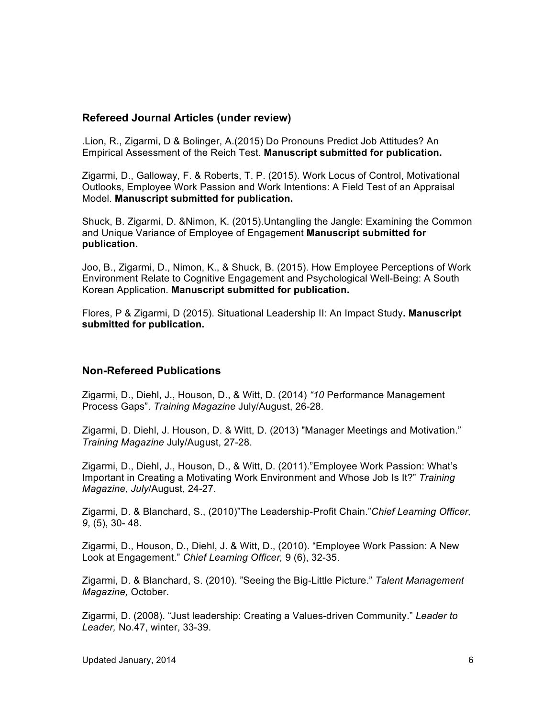#### **Refereed Journal Articles (under review)**

.Lion, R., Zigarmi, D & Bolinger, A.(2015) Do Pronouns Predict Job Attitudes? An Empirical Assessment of the Reich Test. **Manuscript submitted for publication.**

Zigarmi, D., Galloway, F. & Roberts, T. P. (2015). Work Locus of Control, Motivational Outlooks, Employee Work Passion and Work Intentions: A Field Test of an Appraisal Model. **Manuscript submitted for publication.**

Shuck, B. Zigarmi, D. &Nimon, K. (2015).Untangling the Jangle: Examining the Common and Unique Variance of Employee of Engagement **Manuscript submitted for publication.**

Joo, B., Zigarmi, D., Nimon, K., & Shuck, B. (2015). How Employee Perceptions of Work Environment Relate to Cognitive Engagement and Psychological Well-Being: A South Korean Application. **Manuscript submitted for publication.**

Flores, P & Zigarmi, D (2015). Situational Leadership II: An Impact Study**. Manuscript submitted for publication.**

#### **Non-Refereed Publications**

Zigarmi, D., Diehl, J., Houson, D., & Witt, D. (2014) *"10* Performance Management Process Gaps". *Training Magazine* July/August, 26-28.

Zigarmi, D. Diehl, J. Houson, D. & Witt, D. (2013) "Manager Meetings and Motivation." *Training Magazine* July/August, 27-28.

Zigarmi, D., Diehl, J., Houson, D., & Witt, D. (2011)."Employee Work Passion: What's Important in Creating a Motivating Work Environment and Whose Job Is It?" *Training Magazine, July*/August, 24-27.

Zigarmi, D. & Blanchard, S., (2010)"The Leadership-Profit Chain."*Chief Learning Officer, 9*, (5), 30- 48.

Zigarmi, D., Houson, D., Diehl, J. & Witt, D., (2010). "Employee Work Passion: A New Look at Engagement." *Chief Learning Officer,* 9 (6), 32-35.

Zigarmi, D. & Blanchard, S. (2010). "Seeing the Big-Little Picture." *Talent Management Magazine,* October.

Zigarmi, D. (2008). "Just leadership: Creating a Values-driven Community." *Leader to Leader,* No.47, winter, 33-39.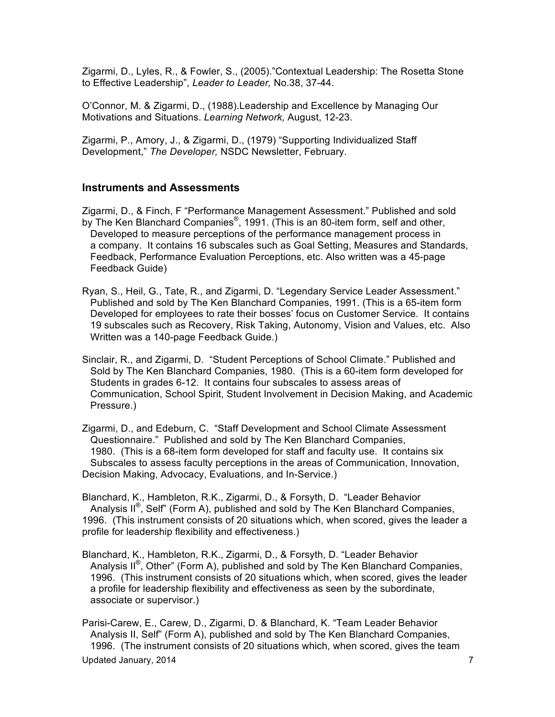Zigarmi, D., Lyles, R., & Fowler, S., (2005)."Contextual Leadership: The Rosetta Stone to Effective Leadership", *Leader to Leader,* No.38, 37-44.

O'Connor, M. & Zigarmi, D., (1988).Leadership and Excellence by Managing Our Motivations and Situations. *Learning Network,* August, 12-23.

Zigarmi, P., Amory, J., & Zigarmi, D., (1979) "Supporting Individualized Staff Development," *The Developer,* NSDC Newsletter, February.

#### **Instruments and Assessments**

Zigarmi, D., & Finch, F "Performance Management Assessment." Published and sold by The Ken Blanchard Companies<sup>®</sup>, 1991. (This is an 80-item form, self and other, Developed to measure perceptions of the performance management process in a company. It contains 16 subscales such as Goal Setting, Measures and Standards, Feedback, Performance Evaluation Perceptions, etc. Also written was a 45-page Feedback Guide)

- Ryan, S., Heil, G., Tate, R., and Zigarmi, D. "Legendary Service Leader Assessment." Published and sold by The Ken Blanchard Companies, 1991. (This is a 65-item form Developed for employees to rate their bosses' focus on Customer Service. It contains 19 subscales such as Recovery, Risk Taking, Autonomy, Vision and Values, etc. Also Written was a 140-page Feedback Guide.)
- Sinclair, R., and Zigarmi, D. "Student Perceptions of School Climate." Published and Sold by The Ken Blanchard Companies, 1980. (This is a 60-item form developed for Students in grades 6-12. It contains four subscales to assess areas of Communication, School Spirit, Student Involvement in Decision Making, and Academic Pressure.)

Zigarmi, D., and Edeburn, C. "Staff Development and School Climate Assessment Questionnaire." Published and sold by The Ken Blanchard Companies, 1980. (This is a 68-item form developed for staff and faculty use. It contains six Subscales to assess faculty perceptions in the areas of Communication, Innovation, Decision Making, Advocacy, Evaluations, and In-Service.)

Blanchard, K., Hambleton, R.K., Zigarmi, D., & Forsyth, D. "Leader Behavior Analysis II<sup>®</sup>, Self" (Form A), published and sold by The Ken Blanchard Companies, 1996. (This instrument consists of 20 situations which, when scored, gives the leader a profile for leadership flexibility and effectiveness.)

Blanchard, K., Hambleton, R.K., Zigarmi, D., & Forsyth, D. "Leader Behavior Analysis II<sup>®</sup>, Other" (Form A), published and sold by The Ken Blanchard Companies, 1996. (This instrument consists of 20 situations which, when scored, gives the leader a profile for leadership flexibility and effectiveness as seen by the subordinate, associate or supervisor.)

Updated January, 2014 **7** and 2014 Parisi-Carew, E., Carew, D., Zigarmi, D. & Blanchard, K. "Team Leader Behavior Analysis II, Self" (Form A), published and sold by The Ken Blanchard Companies, 1996. (The instrument consists of 20 situations which, when scored, gives the team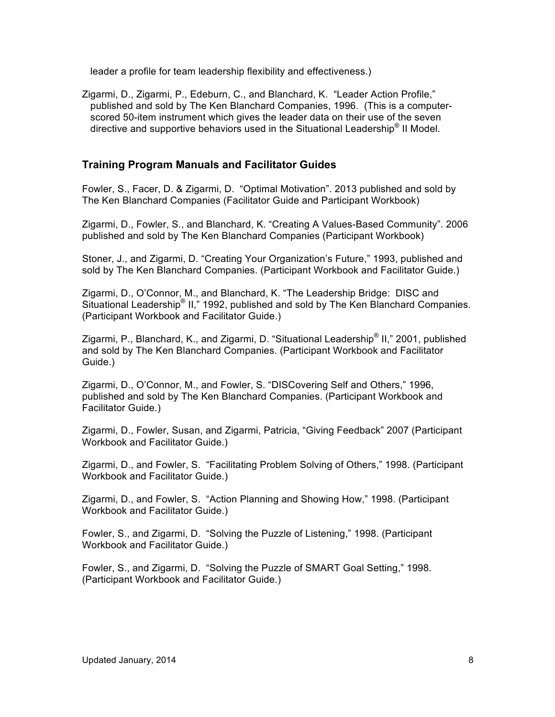leader a profile for team leadership flexibility and effectiveness.)

Zigarmi, D., Zigarmi, P., Edeburn, C., and Blanchard, K. "Leader Action Profile," published and sold by The Ken Blanchard Companies, 1996. (This is a computer scored 50-item instrument which gives the leader data on their use of the seven directive and supportive behaviors used in the Situational Leadership<sup>®</sup> II Model.

#### **Training Program Manuals and Facilitator Guides**

Fowler, S., Facer, D. & Zigarmi, D. "Optimal Motivation". 2013 published and sold by The Ken Blanchard Companies (Facilitator Guide and Participant Workbook)

Zigarmi, D., Fowler, S., and Blanchard, K. "Creating A Values-Based Community". 2006 published and sold by The Ken Blanchard Companies (Participant Workbook)

Stoner, J., and Zigarmi, D. "Creating Your Organization's Future," 1993, published and sold by The Ken Blanchard Companies. (Participant Workbook and Facilitator Guide.)

Zigarmi, D., O'Connor, M., and Blanchard, K. "The Leadership Bridge: DISC and Situational Leadership<sup>®</sup> II," 1992, published and sold by The Ken Blanchard Companies. (Participant Workbook and Facilitator Guide.)

Zigarmi, P., Blanchard, K., and Zigarmi, D. "Situational Leadership® II," 2001, published and sold by The Ken Blanchard Companies. (Participant Workbook and Facilitator Guide.)

Zigarmi, D., O'Connor, M., and Fowler, S. "DISCovering Self and Others," 1996, published and sold by The Ken Blanchard Companies. (Participant Workbook and Facilitator Guide.)

Zigarmi, D., Fowler, Susan, and Zigarmi, Patricia, "Giving Feedback" 2007 (Participant Workbook and Facilitator Guide.)

Zigarmi, D., and Fowler, S. "Facilitating Problem Solving of Others," 1998. (Participant Workbook and Facilitator Guide.)

Zigarmi, D., and Fowler, S. "Action Planning and Showing How," 1998. (Participant Workbook and Facilitator Guide.)

Fowler, S., and Zigarmi, D. "Solving the Puzzle of Listening," 1998. (Participant Workbook and Facilitator Guide.)

Fowler, S., and Zigarmi, D. "Solving the Puzzle of SMART Goal Setting," 1998. (Participant Workbook and Facilitator Guide.)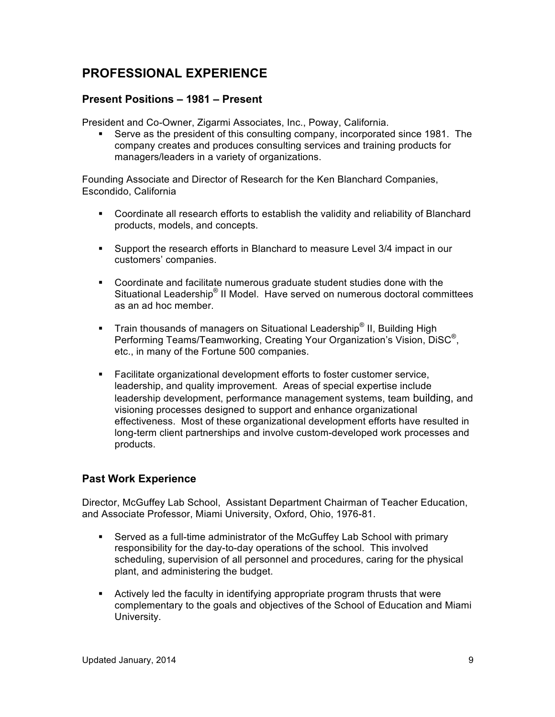# **PROFESSIONAL EXPERIENCE**

#### **Present Positions – 1981 – Present**

President and Co-Owner, Zigarmi Associates, Inc., Poway, California.

§ Serve as the president of this consulting company, incorporated since 1981. The company creates and produces consulting services and training products for managers/leaders in a variety of organizations.

Founding Associate and Director of Research for the Ken Blanchard Companies, Escondido, California

- § Coordinate all research efforts to establish the validity and reliability of Blanchard products, models, and concepts.
- § Support the research efforts in Blanchard to measure Level 3/4 impact in our customers' companies.
- § Coordinate and facilitate numerous graduate student studies done with the Situational Leadership® II Model. Have served on numerous doctoral committees as an ad hoc member.
- **•** Train thousands of managers on Situational Leadership<sup>®</sup> II, Building High Performing Teams/Teamworking, Creating Your Organization's Vision, DiSC®, etc., in many of the Fortune 500 companies.
- Facilitate organizational development efforts to foster customer service, leadership, and quality improvement. Areas of special expertise include leadership development, performance management systems, team building, and visioning processes designed to support and enhance organizational effectiveness. Most of these organizational development efforts have resulted in long-term client partnerships and involve custom-developed work processes and products.

### **Past Work Experience**

Director, McGuffey Lab School, Assistant Department Chairman of Teacher Education, and Associate Professor, Miami University, Oxford, Ohio, 1976-81.

- § Served as a full-time administrator of the McGuffey Lab School with primary responsibility for the day-to-day operations of the school. This involved scheduling, supervision of all personnel and procedures, caring for the physical plant, and administering the budget.
- Actively led the faculty in identifying appropriate program thrusts that were complementary to the goals and objectives of the School of Education and Miami University.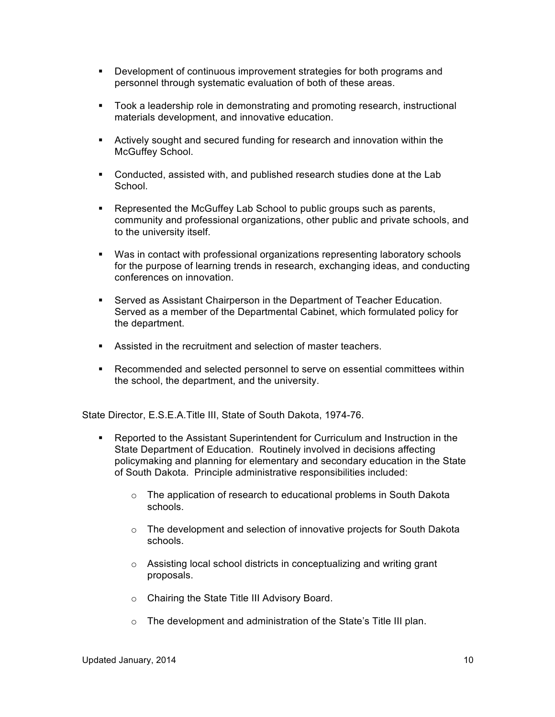- § Development of continuous improvement strategies for both programs and personnel through systematic evaluation of both of these areas.
- § Took a leadership role in demonstrating and promoting research, instructional materials development, and innovative education.
- **EXECT** Actively sought and secured funding for research and innovation within the McGuffey School.
- § Conducted, assisted with, and published research studies done at the Lab School.
- Represented the McGuffey Lab School to public groups such as parents, community and professional organizations, other public and private schools, and to the university itself.
- § Was in contact with professional organizations representing laboratory schools for the purpose of learning trends in research, exchanging ideas, and conducting conferences on innovation.
- Served as Assistant Chairperson in the Department of Teacher Education. Served as a member of the Departmental Cabinet, which formulated policy for the department.
- Assisted in the recruitment and selection of master teachers.
- § Recommended and selected personnel to serve on essential committees within the school, the department, and the university.

State Director, E.S.E.A.Title III, State of South Dakota, 1974-76.

- Reported to the Assistant Superintendent for Curriculum and Instruction in the State Department of Education. Routinely involved in decisions affecting policymaking and planning for elementary and secondary education in the State of South Dakota. Principle administrative responsibilities included:
	- $\circ$  The application of research to educational problems in South Dakota schools.
	- o The development and selection of innovative projects for South Dakota schools.
	- o Assisting local school districts in conceptualizing and writing grant proposals.
	- o Chairing the State Title III Advisory Board.
	- $\circ$  The development and administration of the State's Title III plan.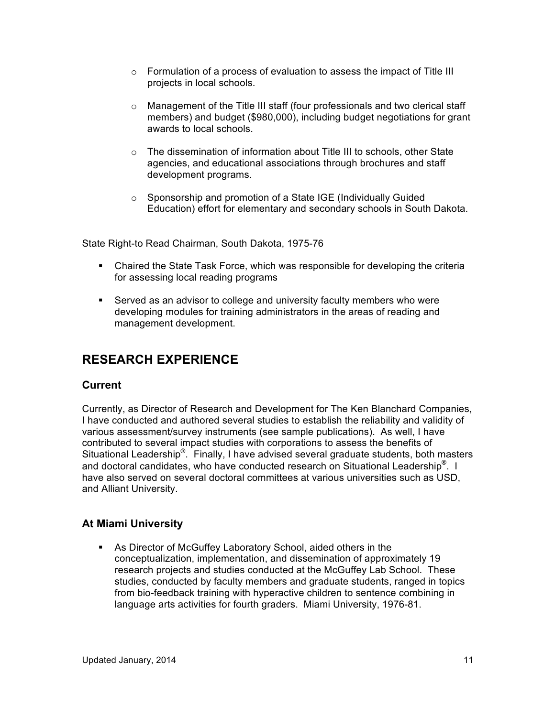- $\circ$  Formulation of a process of evaluation to assess the impact of Title III projects in local schools.
- o Management of the Title III staff (four professionals and two clerical staff members) and budget (\$980,000), including budget negotiations for grant awards to local schools.
- o The dissemination of information about Title III to schools, other State agencies, and educational associations through brochures and staff development programs.
- o Sponsorship and promotion of a State IGE (Individually Guided Education) effort for elementary and secondary schools in South Dakota.

State Right-to Read Chairman, South Dakota, 1975-76

- Chaired the State Task Force, which was responsible for developing the criteria for assessing local reading programs
- Served as an advisor to college and university faculty members who were developing modules for training administrators in the areas of reading and management development.

## **RESEARCH EXPERIENCE**

#### **Current**

Currently, as Director of Research and Development for The Ken Blanchard Companies, I have conducted and authored several studies to establish the reliability and validity of various assessment/survey instruments (see sample publications). As well, I have contributed to several impact studies with corporations to assess the benefits of Situational Leadership®. Finally, I have advised several graduate students, both masters and doctoral candidates, who have conducted research on Situational Leadership<sup>®</sup>. I have also served on several doctoral committees at various universities such as USD, and Alliant University.

### **At Miami University**

■ As Director of McGuffey Laboratory School, aided others in the conceptualization, implementation, and dissemination of approximately 19 research projects and studies conducted at the McGuffey Lab School. These studies, conducted by faculty members and graduate students, ranged in topics from bio-feedback training with hyperactive children to sentence combining in language arts activities for fourth graders. Miami University, 1976-81.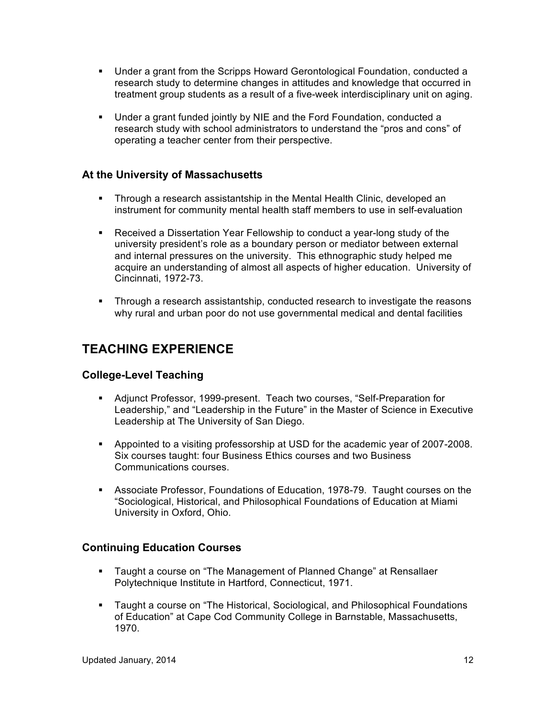- § Under a grant from the Scripps Howard Gerontological Foundation, conducted a research study to determine changes in attitudes and knowledge that occurred in treatment group students as a result of a five-week interdisciplinary unit on aging.
- § Under a grant funded jointly by NIE and the Ford Foundation, conducted a research study with school administrators to understand the "pros and cons" of operating a teacher center from their perspective.

### **At the University of Massachusetts**

- § Through a research assistantship in the Mental Health Clinic, developed an instrument for community mental health staff members to use in self-evaluation
- Received a Dissertation Year Fellowship to conduct a year-long study of the university president's role as a boundary person or mediator between external and internal pressures on the university. This ethnographic study helped me acquire an understanding of almost all aspects of higher education. University of Cincinnati, 1972-73.
- Through a research assistantship, conducted research to investigate the reasons why rural and urban poor do not use governmental medical and dental facilities

### **TEACHING EXPERIENCE**

#### **College-Level Teaching**

- Adjunct Professor, 1999-present. Teach two courses, "Self-Preparation for Leadership," and "Leadership in the Future" in the Master of Science in Executive Leadership at The University of San Diego.
- § Appointed to a visiting professorship at USD for the academic year of 2007-2008. Six courses taught: four Business Ethics courses and two Business Communications courses.
- § Associate Professor, Foundations of Education, 1978-79. Taught courses on the "Sociological, Historical, and Philosophical Foundations of Education at Miami University in Oxford, Ohio.

### **Continuing Education Courses**

- § Taught a course on "The Management of Planned Change" at Rensallaer Polytechnique Institute in Hartford, Connecticut, 1971.
- § Taught a course on "The Historical, Sociological, and Philosophical Foundations of Education" at Cape Cod Community College in Barnstable, Massachusetts, 1970.